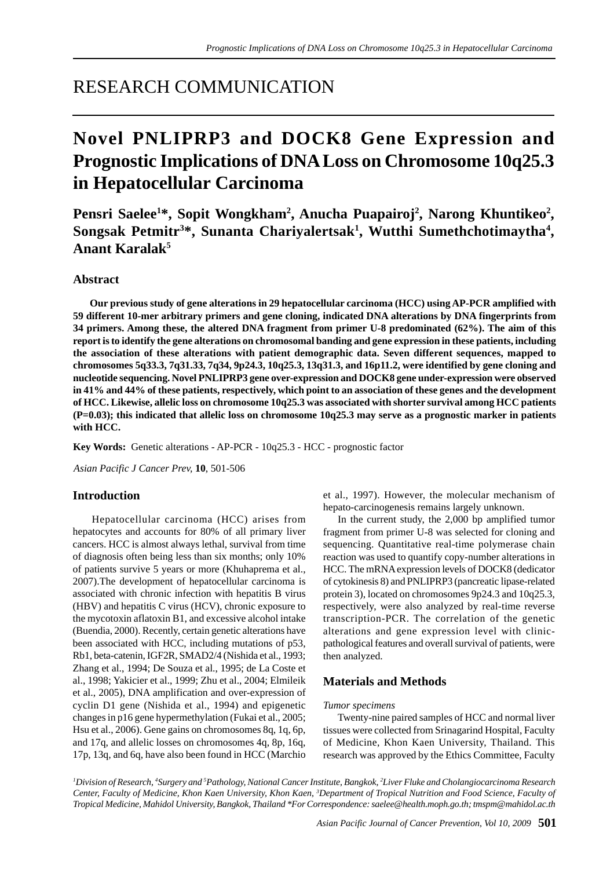## RESEARCH COMMUNICATION

# **Novel PNLIPRP3 and DOCK8 Gene Expression and Prognostic Implications of DNA Loss on Chromosome 10q25.3 in Hepatocellular Carcinoma**

Pensri Saelee<sup>1\*</sup>, Sopit Wongkham<sup>2</sup>, Anucha Puapairoj<sup>2</sup>, Narong Khuntikeo<sup>2</sup>, Songsak Petmitr<sup>3\*</sup>, Sunanta Chariyalertsak<sup>1</sup>, Wutthi Sumethchotimaytha<sup>4</sup>, **Anant Karalak5**

## **Abstract**

 **Our previous study of gene alterations in 29 hepatocellular carcinoma (HCC) using AP-PCR amplified with 59 different 10-mer arbitrary primers and gene cloning, indicated DNA alterations by DNA fingerprints from 34 primers. Among these, the altered DNA fragment from primer U-8 predominated (62%). The aim of this report is to identify the gene alterations on chromosomal banding and gene expression in these patients, including the association of these alterations with patient demographic data. Seven different sequences, mapped to chromosomes 5q33.3, 7q31.33, 7q34, 9p24.3, 10q25.3, 13q31.3, and 16p11.2, were identified by gene cloning and nucleotide sequencing. Novel PNLIPRP3 gene over-expression and DOCK8 gene under-expression were observed in 41% and 44% of these patients, respectively, which point to an association of these genes and the development of HCC. Likewise, allelic loss on chromosome 10q25.3 was associated with shorter survival among HCC patients (P=0.03); this indicated that allelic loss on chromosome 10q25.3 may serve as a prognostic marker in patients with HCC.**

**Key Words:** Genetic alterations - AP-PCR - 10q25.3 - HCC - prognostic factor

*Asian Pacific J Cancer Prev,* **10**, 501-506

## **Introduction**

 Hepatocellular carcinoma (HCC) arises from hepatocytes and accounts for 80% of all primary liver cancers. HCC is almost always lethal, survival from time of diagnosis often being less than six months; only 10% of patients survive 5 years or more (Khuhaprema et al., 2007).The development of hepatocellular carcinoma is associated with chronic infection with hepatitis B virus (HBV) and hepatitis C virus (HCV), chronic exposure to the mycotoxin aflatoxin B1, and excessive alcohol intake (Buendia, 2000). Recently, certain genetic alterations have been associated with HCC, including mutations of p53, Rb1, beta-catenin, IGF2R, SMAD2/4 (Nishida et al., 1993; Zhang et al., 1994; De Souza et al., 1995; de La Coste et al., 1998; Yakicier et al., 1999; Zhu et al., 2004; Elmileik et al., 2005), DNA amplification and over-expression of cyclin D1 gene (Nishida et al., 1994) and epigenetic changes in p16 gene hypermethylation (Fukai et al., 2005; Hsu et al., 2006). Gene gains on chromosomes 8q, 1q, 6p, and 17q, and allelic losses on chromosomes 4q, 8p, 16q, 17p, 13q, and 6q, have also been found in HCC (Marchio et al., 1997). However, the molecular mechanism of hepato-carcinogenesis remains largely unknown.

In the current study, the 2,000 bp amplified tumor fragment from primer U-8 was selected for cloning and sequencing. Quantitative real-time polymerase chain reaction was used to quantify copy-number alterations in HCC. The mRNA expression levels of DOCK8 (dedicator of cytokinesis 8) and PNLIPRP3 (pancreatic lipase-related protein 3), located on chromosomes 9p24.3 and 10q25.3, respectively, were also analyzed by real-time reverse transcription-PCR. The correlation of the genetic alterations and gene expression level with clinicpathological features and overall survival of patients, were then analyzed.

## **Materials and Methods**

#### *Tumor specimens*

Twenty-nine paired samples of HCC and normal liver tissues were collected from Srinagarind Hospital, Faculty of Medicine, Khon Kaen University, Thailand. This research was approved by the Ethics Committee, Faculty

*1 Division of Research, 4 Surgery and 5 Pathology, National Cancer Institute, Bangkok, 2 Liver Fluke and Cholangiocarcinoma Research Center, Faculty of Medicine, Khon Kaen University, Khon Kaen, 3 Department of Tropical Nutrition and Food Science, Faculty of Tropical Medicine, Mahidol University, Bangkok, Thailand \*For Correspondence: saelee@health.moph.go.th; tmspm@mahidol.ac.th*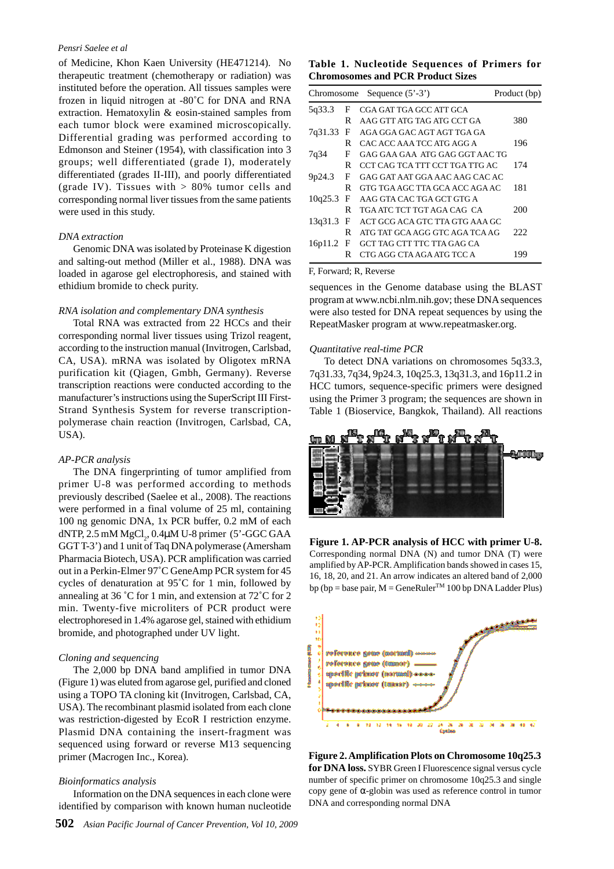#### *Pensri Saelee et al*

of Medicine, Khon Kaen University (HE471214). No therapeutic treatment (chemotherapy or radiation) was instituted before the operation. All tissues samples were frozen in liquid nitrogen at -80˚C for DNA and RNA extraction. Hematoxylin & eosin-stained samples from each tumor block were examined microscopically. Differential grading was performed according to Edmonson and Steiner (1954), with classification into 3 groups; well differentiated (grade I), moderately differentiated (grades II-III), and poorly differentiated (grade IV). Tissues with  $> 80\%$  tumor cells and corresponding normal liver tissues from the same patients were used in this study.

#### *DNA extraction*

Genomic DNA was isolated by Proteinase K digestion and salting-out method (Miller et al., 1988). DNA was loaded in agarose gel electrophoresis, and stained with ethidium bromide to check purity.

#### *RNA isolation and complementary DNA synthesis*

Total RNA was extracted from 22 HCCs and their corresponding normal liver tissues using Trizol reagent, according to the instruction manual (Invitrogen, Carlsbad, CA, USA). mRNA was isolated by Oligotex mRNA purification kit (Qiagen, Gmbh, Germany). Reverse transcription reactions were conducted according to the manufacturer's instructions using the SuperScript III First-Strand Synthesis System for reverse transcriptionpolymerase chain reaction (Invitrogen, Carlsbad, CA, USA).

#### *AP-PCR analysis*

The DNA fingerprinting of tumor amplified from primer U-8 was performed according to methods previously described (Saelee et al., 2008). The reactions were performed in a final volume of 25 ml, containing 100 ng genomic DNA, 1x PCR buffer, 0.2 mM of each dNTP, 2.5 mM  ${MgCl}_2$ , 0.4 $\mu$ M U-8 primer (5'-GGC GAA GGT T-3') and 1 unit of Taq DNA polymerase (Amersham Pharmacia Biotech, USA). PCR amplification was carried out in a Perkin-Elmer 97˚C GeneAmp PCR system for 45 cycles of denaturation at 95˚C for 1 min, followed by annealing at 36 ˚C for 1 min, and extension at 72˚C for 2 min. Twenty-five microliters of PCR product were electrophoresed in 1.4% agarose gel, stained with ethidium bromide, and photographed under UV light.

#### *Cloning and sequencing*

The 2,000 bp DNA band amplified in tumor DNA (Figure 1) was eluted from agarose gel, purified and cloned using a TOPO TA cloning kit (Invitrogen, Carlsbad, CA, USA). The recombinant plasmid isolated from each clone was restriction-digested by EcoR I restriction enzyme. Plasmid DNA containing the insert-fragment was sequenced using forward or reverse M13 sequencing primer (Macrogen Inc., Korea).

#### *Bioinformatics analysis*

Information on the DNA sequences in each clone were identified by comparison with known human nucleotide

### **Table 1. Nucleotide Sequences of Primers for Chromosomes and PCR Product Sizes**

| Chromosome |   | Sequence $(5' - 3')$           | Product (bp) |
|------------|---|--------------------------------|--------------|
| 5q33.3     | F | CGA GAT TGA GCC ATT GCA        |              |
|            | R | AAG GTT ATG TAG ATG CCT GA     | 380          |
| 7q31.33    | F | AGA GGA GAC AGT AGT TGA GA     |              |
|            | R | CAC ACC AAA TCC ATG AGG A      | 196          |
| 7q34       | F | GAG GAA GAA ATG GAG GGT AAC TG |              |
|            | R | CCT CAG TCA TTT CCT TGA TTG AC | 174          |
| 9p24.3     | F | GAG GAT AAT GGA AAC AAG CAC AC |              |
|            | R | GTG TGA AGC TTA GCA ACC AGA AC | 181          |
| 10q25.3    | F | AAG GTA CAC TGA GCT GTG A      |              |
|            | R | TGA ATC TCT TGT AGA CAG CA     | 200          |
| 13q31.3    | F | ACT GCG ACA GTC TTA GTG AAA GC |              |
|            | R | ATG TAT GCA AGG GTC AGA TCA AG | 222          |
| 16p11.2    | F | GCT TAG CTT TTC TTA GAG CA     |              |
|            | R | CTG AGG CTA AGA ATG TCC A      | 199          |

#### F, Forward; R, Reverse

sequences in the Genome database using the BLAST program at www.ncbi.nlm.nih.gov; these DNA sequences were also tested for DNA repeat sequences by using the RepeatMasker program at www.repeatmasker.org.

#### *Quantitative real-time PCR*

To detect DNA variations on chromosomes 5q33.3, 7q31.33, 7q34, 9p24.3, 10q25.3, 13q31.3, and 16p11.2 in HCC tumors, sequence-specific primers were designed using the Primer 3 program; the sequences are shown in Table 1 (Bioservice, Bangkok, Thailand). All reactions



**Figure 1. AP-PCR analysis of HCC with primer U-8.** Corresponding normal DNA (N) and tumor DNA (T) were amplified by AP-PCR. Amplification bands showed in cases 15, 16, 18, 20, and 21. An arrow indicates an altered band of 2,000 bp (bp = base pair,  $M =$  GeneRuler<sup>TM</sup> 100 bp DNA Ladder Plus)



**Figure 2. Amplification Plots on Chromosome 10q25.3 for DNA loss.** SYBR Green I Fluorescence signal versus cycle number of specific primer on chromosome 10q25.3 and single copy gene of α-globin was used as reference control in tumor DNA and corresponding normal DNA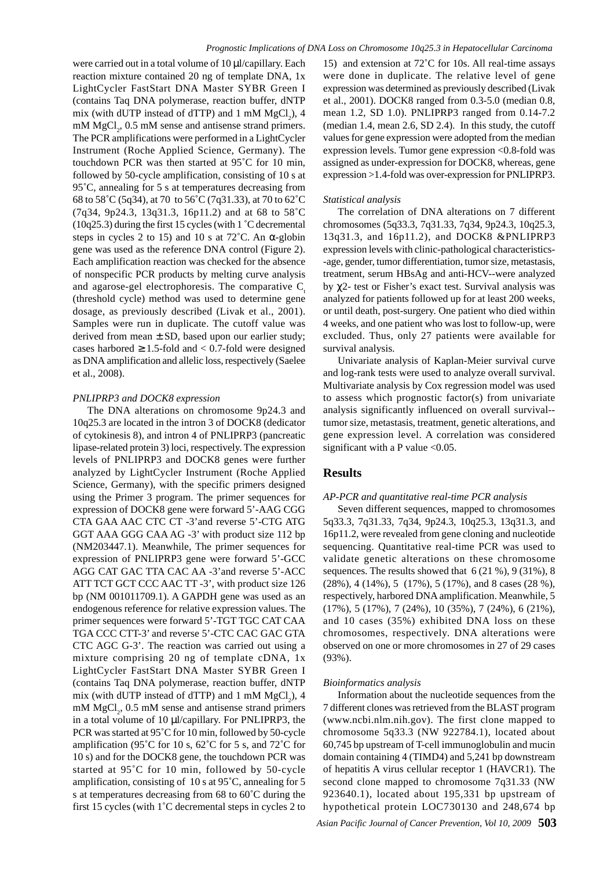were carried out in a total volume of 10 µl/capillary. Each reaction mixture contained 20 ng of template DNA, 1x LightCycler FastStart DNA Master SYBR Green I (contains Taq DNA polymerase, reaction buffer, dNTP mix (with dUTP instead of dTTP) and  $1 \text{ mM } M\text{gCl}_2$ ), 4 mM  $MgCl<sub>2</sub>$ , 0.5 mM sense and antisense strand primers. The PCR amplifications were performed in a LightCycler Instrument (Roche Applied Science, Germany). The touchdown PCR was then started at 95˚C for 10 min, followed by 50-cycle amplification, consisting of 10 s at 95˚C, annealing for 5 s at temperatures decreasing from 68 to 58˚C (5q34), at 70 to 56˚C (7q31.33), at 70 to 62˚C (7q34, 9p24.3, 13q31.3, 16p11.2) and at 68 to 58˚C  $(10q25.3)$  during the first 15 cycles (with 1  $\degree$ C decremental steps in cycles 2 to 15) and 10 s at  $72^{\circ}$ C. An  $\alpha$ -globin gene was used as the reference DNA control (Figure 2). Each amplification reaction was checked for the absence of nonspecific PCR products by melting curve analysis and agarose-gel electrophoresis. The comparative  $C_t$ (threshold cycle) method was used to determine gene dosage, as previously described (Livak et al., 2001). Samples were run in duplicate. The cutoff value was derived from mean  $\pm$  SD, based upon our earlier study; cases harbored  $\geq 1.5$ -fold and  $< 0.7$ -fold were designed as DNA amplification and allelic loss, respectively (Saelee et al., 2008).

#### *PNLIPRP3 and DOCK8 expression*

The DNA alterations on chromosome 9p24.3 and 10q25.3 are located in the intron 3 of DOCK8 (dedicator of cytokinesis 8), and intron 4 of PNLIPRP3 (pancreatic lipase-related protein 3) loci, respectively. The expression levels of PNLIPRP3 and DOCK8 genes were further analyzed by LightCycler Instrument (Roche Applied Science, Germany), with the specific primers designed using the Primer 3 program. The primer sequences for expression of DOCK8 gene were forward 5'-AAG CGG CTA GAA AAC CTC CT -3'and reverse 5'-CTG ATG GGT AAA GGG CAA AG -3' with product size 112 bp (NM203447.1). Meanwhile, The primer sequences for expression of PNLIPRP3 gene were forward 5'-GCC AGG CAT GAC TTA CAC AA -3'and reverse 5'-ACC ATT TCT GCT CCC AAC TT -3', with product size 126 bp (NM 001011709.1). A GAPDH gene was used as an endogenous reference for relative expression values. The primer sequences were forward 5'-TGT TGC CAT CAA TGA CCC CTT-3' and reverse 5'-CTC CAC GAC GTA CTC AGC G-3'. The reaction was carried out using a mixture comprising 20 ng of template cDNA, 1x LightCycler FastStart DNA Master SYBR Green I (contains Taq DNA polymerase, reaction buffer, dNTP mix (with dUTP instead of dTTP) and  $1 \text{ mM } M\text{gCl}_2$ ), 4  $mM MgCl<sub>2</sub>$ , 0.5 mM sense and antisense strand primers in a total volume of 10 µl/capillary. For PNLIPRP3, the PCR was started at 95˚C for 10 min, followed by 50-cycle amplification (95˚C for 10 s, 62˚C for 5 s, and 72˚C for 10 s) and for the DOCK8 gene, the touchdown PCR was started at 95˚C for 10 min, followed by 50-cycle amplification, consisting of 10 s at 95˚C, annealing for 5 s at temperatures decreasing from 68 to 60˚C during the first 15 cycles (with 1˚C decremental steps in cycles 2 to

15) and extension at 72˚C for 10s. All real-time assays were done in duplicate. The relative level of gene expression was determined as previously described (Livak et al., 2001). DOCK8 ranged from 0.3-5.0 (median 0.8, mean 1.2, SD 1.0). PNLIPRP3 ranged from 0.14-7.2 (median 1.4, mean 2.6, SD 2.4). In this study, the cutoff values for gene expression were adopted from the median expression levels. Tumor gene expression <0.8-fold was assigned as under-expression for DOCK8, whereas, gene expression >1.4-fold was over-expression for PNLIPRP3.

#### *Statistical analysis*

The correlation of DNA alterations on 7 different chromosomes (5q33.3, 7q31.33, 7q34, 9p24.3, 10q25.3, 13q31.3, and 16p11.2), and DOCK8 &PNLIPRP3 expression levels with clinic-pathological characteristics- -age, gender, tumor differentiation, tumor size, metastasis, treatment, serum HBsAg and anti-HCV--were analyzed by χ2- test or Fisher's exact test. Survival analysis was analyzed for patients followed up for at least 200 weeks, or until death, post-surgery. One patient who died within 4 weeks, and one patient who was lost to follow-up, were excluded. Thus, only 27 patients were available for survival analysis.

Univariate analysis of Kaplan-Meier survival curve and log-rank tests were used to analyze overall survival. Multivariate analysis by Cox regression model was used to assess which prognostic factor(s) from univariate analysis significantly influenced on overall survival- tumor size, metastasis, treatment, genetic alterations, and gene expression level. A correlation was considered significant with a P value  $< 0.05$ .

## **Results**

#### *AP-PCR and quantitative real-time PCR analysis*

Seven different sequences, mapped to chromosomes 5q33.3, 7q31.33, 7q34, 9p24.3, 10q25.3, 13q31.3, and 16p11.2, were revealed from gene cloning and nucleotide sequencing. Quantitative real-time PCR was used to validate genetic alterations on these chromosome sequences. The results showed that 6 (21 %), 9 (31%), 8 (28%), 4 (14%), 5 (17%), 5 (17%), and 8 cases (28 %), respectively, harbored DNA amplification. Meanwhile, 5 (17%), 5 (17%), 7 (24%), 10 (35%), 7 (24%), 6 (21%), and 10 cases (35%) exhibited DNA loss on these chromosomes, respectively. DNA alterations were observed on one or more chromosomes in 27 of 29 cases (93%).

#### *Bioinformatics analysis*

Information about the nucleotide sequences from the 7 different clones was retrieved from the BLAST program (www.ncbi.nlm.nih.gov). The first clone mapped to chromosome 5q33.3 (NW 922784.1), located about 60,745 bp upstream of T-cell immunoglobulin and mucin domain containing 4 (TIMD4) and 5,241 bp downstream of hepatitis A virus cellular receptor 1 (HAVCR1). The second clone mapped to chromosome 7q31.33 (NW 923640.1), located about 195,331 bp upstream of hypothetical protein LOC730130 and 248,674 bp

*Asian Pacific Journal of Cancer Prevention, Vol 10, 2009* **503**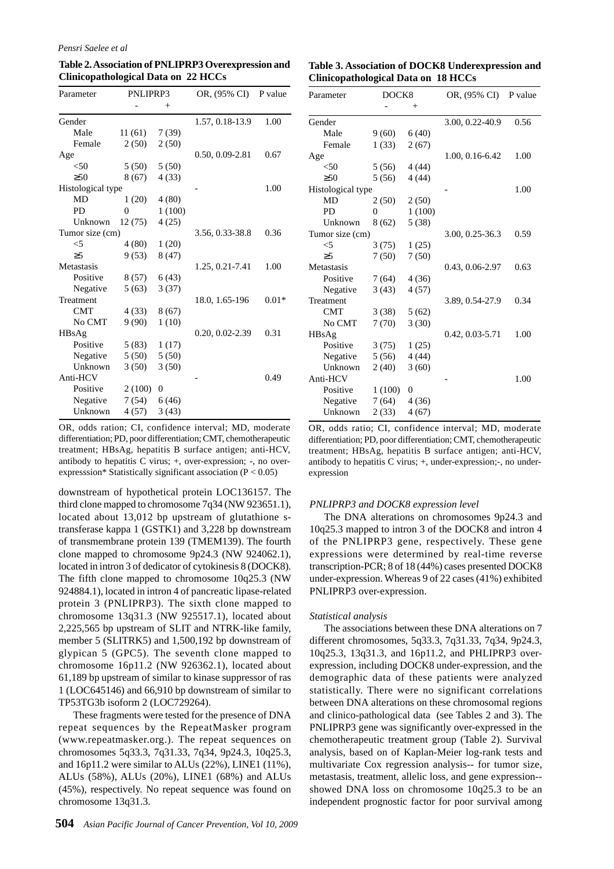#### *Pensri Saelee et al*

**Table 2. Association of PNLIPRP3 Overexpression and Clinicopathological Data on 22 HCCs**

| Parameter         | PNLIPRP3 |                | OR, (95% CI)        | P value |  |
|-------------------|----------|----------------|---------------------|---------|--|
|                   |          | $^{+}$         |                     |         |  |
| Gender            |          |                | 1.57, 0.18-13.9     | 1.00    |  |
| Male              | 11(61)   | 7(39)          |                     |         |  |
| Female            | 2(50)    | 2(50)          |                     |         |  |
| Age               |          |                | $0.50, 0.09 - 2.81$ | 0.67    |  |
| $<$ 50            | 5(50)    | 5(50)          |                     |         |  |
| $\geq 50$         | 8 (67)   | 4(33)          |                     |         |  |
| Histological type |          |                |                     | 1.00    |  |
| MD                | 1(20)    | 4(80)          |                     |         |  |
| PD                | 0        | 1(100)         |                     |         |  |
| Unknown           | 12 (75)  | 4(25)          |                     |         |  |
| Tumor size (cm)   |          |                | 3.56, 0.33-38.8     | 0.36    |  |
| $<$ 5             | 4(80)    | 1(20)          |                     |         |  |
| $\geq$ 5          | 9(53)    | 8(47)          |                     |         |  |
| Metastasis        |          |                | 1.25, 0.21-7.41     | 1.00    |  |
| Positive          | 8 (57)   | 6(43)          |                     |         |  |
| Negative          | 5(63)    | 3(37)          |                     |         |  |
| Treatment         |          |                | 18.0, 1.65-196      | $0.01*$ |  |
| <b>CMT</b>        | 4(33)    | 8(67)          |                     |         |  |
| No CMT            | 9(90)    | 1(10)          |                     |         |  |
| HBsAg             |          |                | $0.20, 0.02 - 2.39$ | 0.31    |  |
| Positive          | 5(83)    | 1(17)          |                     |         |  |
| Negative          | 5(50)    | 5(50)          |                     |         |  |
| Unknown           | 3(50)    | 3(50)          |                     |         |  |
| Anti-HCV          |          |                |                     | 0.49    |  |
| Positive          | 2(100)   | $\overline{0}$ |                     |         |  |
| Negative          | 7(54)    | 6(46)          |                     |         |  |
| Unknown           | 4 (57)   | 3(43)          |                     |         |  |

OR, odds ration; CI, confidence interval; MD, moderate differentiation; PD, poor differentiation; CMT, chemotherapeutic treatment; HBsAg, hepatitis B surface antigen; anti-HCV, antibody to hepatitis C virus; +, over-expression; -, no overexpresssion\* Statistically significant association  $(P < 0.05)$ 

downstream of hypothetical protein LOC136157. The third clone mapped to chromosome 7q34 (NW 923651.1), located about 13,012 bp upstream of glutathione stransferase kappa 1 (GSTK1) and 3,228 bp downstream of transmembrane protein 139 (TMEM139). The fourth clone mapped to chromosome 9p24.3 (NW 924062.1), located in intron 3 of dedicator of cytokinesis 8 (DOCK8). The fifth clone mapped to chromosome 10q25.3 (NW 924884.1), located in intron 4 of pancreatic lipase-related protein 3 (PNLIPRP3). The sixth clone mapped to chromosome 13q31.3 (NW 925517.1), located about 2,225,565 bp upstream of SLIT and NTRK-like family, member 5 (SLITRK5) and 1,500,192 bp downstream of glypican 5 (GPC5). The seventh clone mapped to chromosome 16p11.2 (NW 926362.1), located about 61,189 bp upstream of similar to kinase suppressor of ras 1 (LOC645146) and 66,910 bp downstream of similar to TP53TG3b isoform 2 (LOC729264).

These fragments were tested for the presence of DNA repeat sequences by the RepeatMasker program (www.repeatmasker.org.). The repeat sequences on chromosomes 5q33.3, 7q31.33, 7q34, 9p24.3, 10q25.3, and 16p11.2 were similar to ALUs (22%), LINE1 (11%), ALUs (58%), ALUs (20%), LINE1 (68%) and ALUs (45%), respectively. No repeat sequence was found on chromosome 13q31.3.

| Table 3. Association of DOCK8 Underexpression and |  |
|---------------------------------------------------|--|
| Clinicopathological Data on 18 HCCs               |  |

| Parameter         | DOCK8  |                 | OR, (95% CI)        | P value |
|-------------------|--------|-----------------|---------------------|---------|
|                   |        | $^{+}$          |                     |         |
| Gender            |        |                 | 3.00, 0.22-40.9     | 0.56    |
| Male              | 9(60)  | 6(40)           |                     |         |
| Female            | 1(33)  | 2(67)           |                     |         |
| Age               |        |                 | 1.00, 0.16-6.42     | 1.00    |
| $<$ 50            | 5(56)  | 4(44)           |                     |         |
| $\geq 50$         | 5(56)  | 4(44)           |                     |         |
| Histological type |        |                 |                     | 1.00    |
| MD                | 2(50)  | 2(50)           |                     |         |
| <b>PD</b>         | 0      | 1(100)          |                     |         |
| Unknown           | 8 (62) | 5(38)           |                     |         |
| Tumor size (cm)   |        | 3.00, 0.25-36.3 | 0.59                |         |
| $<$ 5             | 3(75)  | 1(25)           |                     |         |
| $\geq 5$          | 7(50)  | 7(50)           |                     |         |
| Metastasis        |        |                 | 0.43, 0.06-2.97     | 0.63    |
| Positive          | 7(64)  | 4(36)           |                     |         |
| Negative          | 3(43)  | 4(57)           |                     |         |
| Treatment         |        |                 | 3.89, 0.54-27.9     | 0.34    |
| <b>CMT</b>        | 3(38)  | 5(62)           |                     |         |
| No CMT            | 7(70)  | 3(30)           |                     |         |
| HBsAg             |        |                 | $0.42, 0.03 - 5.71$ | 1.00    |
| Positive          | 3(75)  | 1(25)           |                     |         |
| Negative          | 5(56)  | 4(44)           |                     |         |
| Unknown           | 2(40)  | 3(60)           |                     |         |
| Anti-HCV          |        |                 |                     | 1.00    |
| Positive          | 1(100) | $\Omega$        |                     |         |
| Negative          | 7(64)  | 4(36)           |                     |         |
| Unknown           | 2(33)  | 4(67)           |                     |         |
|                   |        |                 |                     |         |

OR, odds ratio; CI, confidence interval; MD, moderate differentiation; PD, poor differentiation; CMT, chemotherapeutic treatment; HBsAg, hepatitis B surface antigen; anti-HCV, antibody to hepatitis C virus; +, under-expression;-, no underexpression

#### *PNLIPRP3 and DOCK8 expression level*

The DNA alterations on chromosomes 9p24.3 and 10q25.3 mapped to intron 3 of the DOCK8 and intron 4 of the PNLIPRP3 gene, respectively. These gene expressions were determined by real-time reverse transcription-PCR; 8 of 18 (44%) cases presented DOCK8 under-expression. Whereas 9 of 22 cases (41%) exhibited PNLIPRP3 over-expression.

#### *Statistical analysis*

The associations between these DNA alterations on 7 different chromosomes, 5q33.3, 7q31.33, 7q34, 9p24.3, 10q25.3, 13q31.3, and 16p11.2, and PHLIPRP3 overexpression, including DOCK8 under-expression, and the demographic data of these patients were analyzed statistically. There were no significant correlations between DNA alterations on these chromosomal regions and clinico-pathological data (see Tables 2 and 3). The PNLIPRP3 gene was significantly over-expressed in the chemotherapeutic treatment group (Table 2). Survival analysis, based on of Kaplan-Meier log-rank tests and multivariate Cox regression analysis-- for tumor size, metastasis, treatment, allelic loss, and gene expression- showed DNA loss on chromosome 10q25.3 to be an independent prognostic factor for poor survival among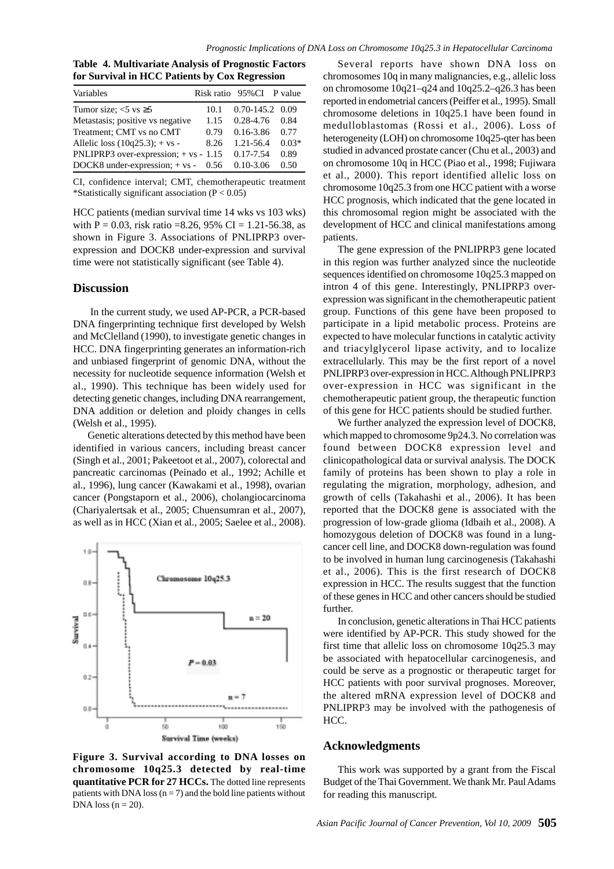**Table 4. Multivariate Analysis of Prognostic Factors for Survival in HCC Patients by Cox Regression**

| Variables                               |      | Risk ratio 95% CI P value |         |
|-----------------------------------------|------|---------------------------|---------|
| Tumor size: $<$ 5 vs $\ge$ 5            | 10.1 | 0.70-145.2 0.09           |         |
| Metastasis; positive vs negative        | 1.15 | $0.28 - 4.76$             | 0.84    |
| Treatment; CMT vs no CMT                | 0.79 | $0.16 - 3.86$             | 0.77    |
| Allelic loss $(10q25.3)$ ; + vs -       | 8.26 | 1.21-56.4                 | $0.03*$ |
| PNLIPRP3 over-expression; $+ vs - 1.15$ |      | $0.17 - 7.54$             | 0.89    |
| DOCK8 under-expression; $+$ vs - 0.56   |      | $0.10 - 3.06$             | 0.50    |

CI, confidence interval; CMT, chemotherapeutic treatment \*Statistically significant association  $(P < 0.05)$ 

HCC patients (median survival time 14 wks vs 103 wks) with  $P = 0.03$ , risk ratio =8.26, 95% CI = 1.21-56.38, as shown in Figure 3. Associations of PNLIPRP3 overexpression and DOCK8 under-expression and survival time were not statistically significant (see Table 4).

## **Discussion**

 In the current study, we used AP-PCR, a PCR-based DNA fingerprinting technique first developed by Welsh and McClelland (1990), to investigate genetic changes in HCC. DNA fingerprinting generates an information-rich and unbiased fingerprint of genomic DNA, without the necessity for nucleotide sequence information (Welsh et al., 1990). This technique has been widely used for detecting genetic changes, including DNA rearrangement, DNA addition or deletion and ploidy changes in cells (Welsh et al., 1995).

Genetic alterations detected by this method have been identified in various cancers, including breast cancer (Singh et al., 2001; Pakeetoot et al., 2007), colorectal and pancreatic carcinomas (Peinado et al., 1992; Achille et al., 1996), lung cancer (Kawakami et al., 1998), ovarian cancer (Pongstaporn et al., 2006), cholangiocarcinoma (Chariyalertsak et al., 2005; Chuensumran et al., 2007), as well as in HCC (Xian et al., 2005; Saelee et al., 2008).



**Figure 3. Survival according to DNA losses on chromosome 10q25.3 detected by real-time quantitative PCR for 27 HCCs.** The dotted line represents patients with DNA loss  $(n = 7)$  and the bold line patients without DNA loss  $(n = 20)$ .

Several reports have shown DNA loss on chromosomes 10q in many malignancies, e.g., allelic loss on chromosome 10q21–q24 and 10q25.2–q26.3 has been reported in endometrial cancers (Peiffer et al., 1995). Small chromosome deletions in 10q25.1 have been found in medulloblastomas (Rossi et al., 2006). Loss of heterogeneity (LOH) on chromosome 10q25-qter has been studied in advanced prostate cancer (Chu et al., 2003) and on chromosome 10q in HCC (Piao et al., 1998; Fujiwara et al., 2000). This report identified allelic loss on chromosome 10q25.3 from one HCC patient with a worse HCC prognosis, which indicated that the gene located in this chromosomal region might be associated with the development of HCC and clinical manifestations among patients.

The gene expression of the PNLIPRP3 gene located in this region was further analyzed since the nucleotide sequences identified on chromosome 10q25.3 mapped on intron 4 of this gene. Interestingly, PNLIPRP3 overexpression was significant in the chemotherapeutic patient group. Functions of this gene have been proposed to participate in a lipid metabolic process. Proteins are expected to have molecular functions in catalytic activity and triacylglycerol lipase activity, and to localize extracellularly. This may be the first report of a novel PNLIPRP3 over-expression in HCC. Although PNLIPRP3 over-expression in HCC was significant in the chemotherapeutic patient group, the therapeutic function of this gene for HCC patients should be studied further.

We further analyzed the expression level of DOCK8, which mapped to chromosome 9p24.3. No correlation was found between DOCK8 expression level and clinicopathological data or survival analysis. The DOCK family of proteins has been shown to play a role in regulating the migration, morphology, adhesion, and growth of cells (Takahashi et al., 2006). It has been reported that the DOCK8 gene is associated with the progression of low-grade glioma (Idbaih et al., 2008). A homozygous deletion of DOCK8 was found in a lungcancer cell line, and DOCK8 down-regulation was found to be involved in human lung carcinogenesis (Takahashi et al., 2006). This is the first research of DOCK8 expression in HCC. The results suggest that the function of these genes in HCC and other cancers should be studied further.

In conclusion, genetic alterations in Thai HCC patients were identified by AP-PCR. This study showed for the first time that allelic loss on chromosome 10q25.3 may be associated with hepatocellular carcinogenesis, and could be serve as a prognostic or therapeutic target for HCC patients with poor survival prognoses. Moreover, the altered mRNA expression level of DOCK8 and PNLIPRP3 may be involved with the pathogenesis of HCC.

## **Acknowledgments**

This work was supported by a grant from the Fiscal Budget of the Thai Government. We thank Mr. Paul Adams for reading this manuscript.